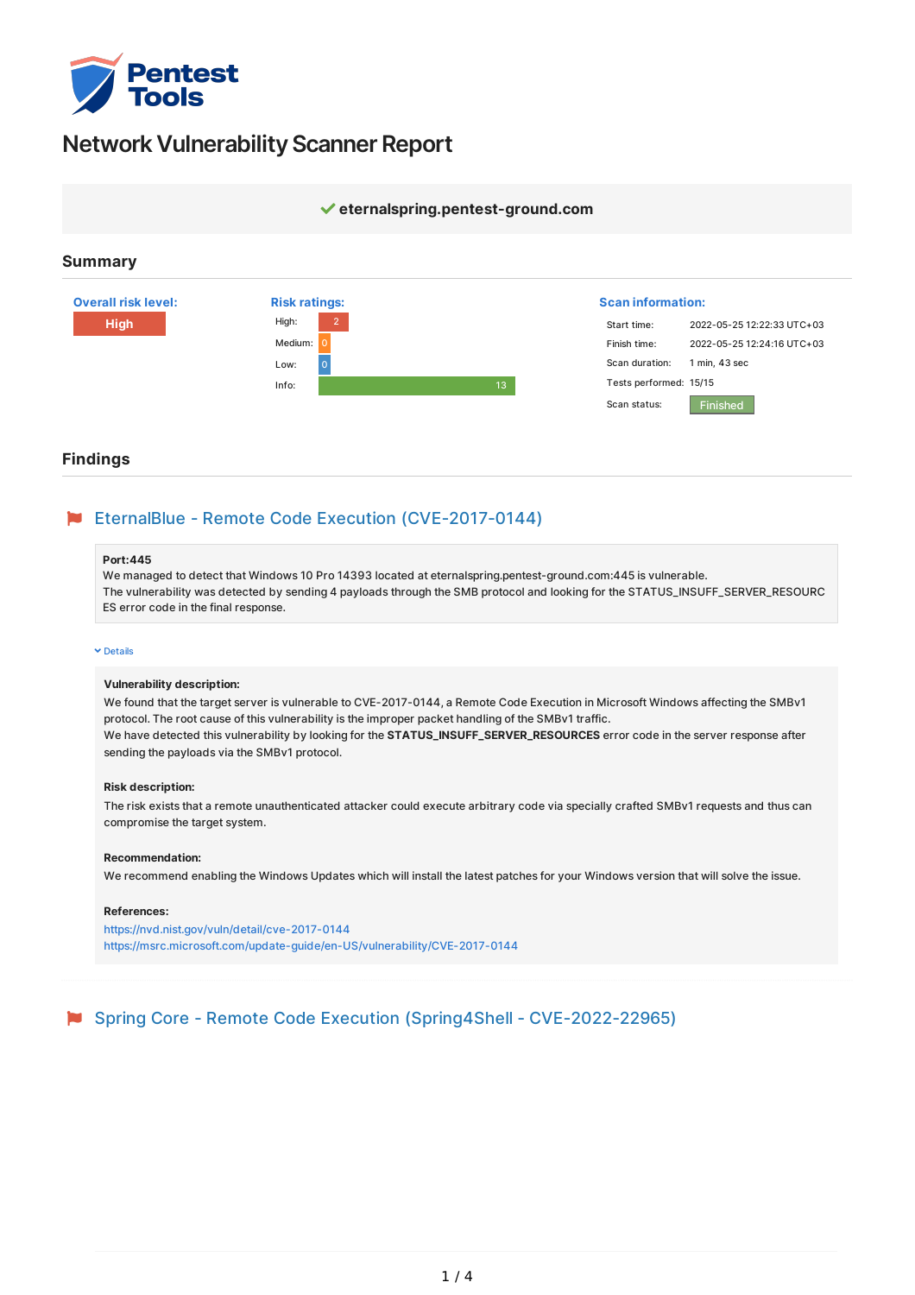

# **Network Vulnerability Scanner Report**



### **Findings**

# EternalBlue - Remote Code Execution (CVE-2017-0144)

#### **Port:445**

We managed to detect that Windows 10 Pro 14393 located at eternalspring.pentest-ground.com:445 is vulnerable. The vulnerability was detected by sending 4 payloads through the SMB protocol and looking for the STATUS\_INSUFF\_SERVER\_RESOURC ES error code in the final response.

#### <span id="page-0-0"></span> $ightharpoonup$  [Details](#page-0-0)

#### **Vulnerability description:**

We found that the target server is vulnerable to CVE-2017-0144, a Remote Code Execution in Microsoft Windows affecting the SMBv1 protocol. The root cause of this vulnerability is the improper packet handling of the SMBv1 traffic. We have detected this vulnerability by looking for the **STATUS\_INSUFF\_SERVER\_RESOURCES** error code in the server response after sending the payloads via the SMBv1 protocol.

#### **Risk description:**

The risk exists that a remote unauthenticated attacker could execute arbitrary code via specially crafted SMBv1 requests and thus can compromise the target system.

#### **Recommendation:**

We recommend enabling the Windows Updates which will install the latest patches for your Windows version that will solve the issue.

#### **References:**

<https://nvd.nist.gov/vuln/detail/cve-2017-0144> <https://msrc.microsoft.com/update-guide/en-US/vulnerability/CVE-2017-0144>

Spring Core - Remote Code Execution (Spring4Shell - CVE-2022-22965)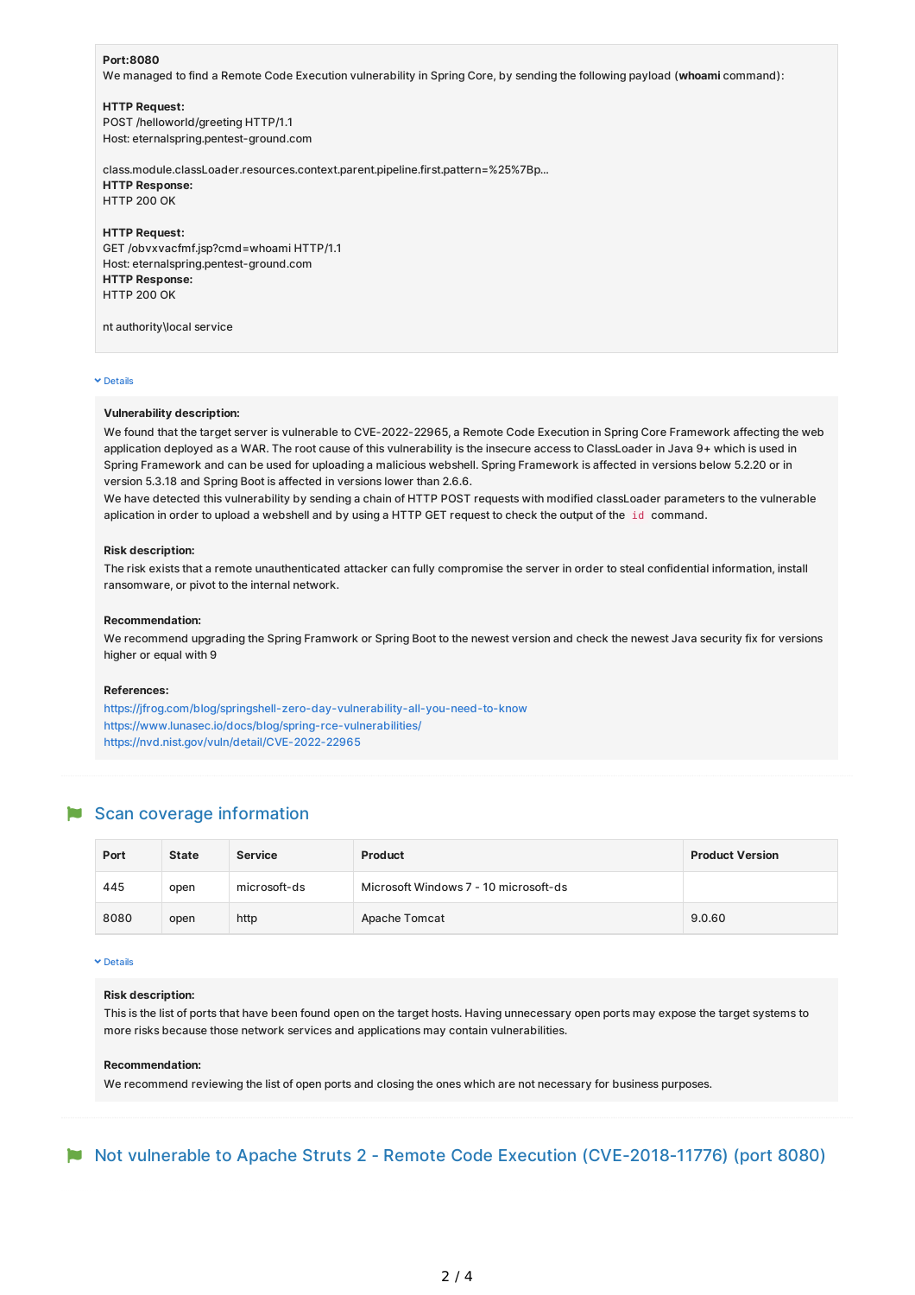#### **Port:8080**

We managed to find a Remote Code Execution vulnerability in Spring Core, by sending the following payload (**whoami** command):

#### **HTTP Request:**

POST /helloworld/greeting HTTP/1.1 Host: eternalspring.pentest-ground.com

class.module.classLoader.resources.context.parent.pipeline.first.pattern=%25%7Bp... **HTTP Response:** HTTP 200 OK

#### **HTTP Request:**

GET /obvxvacfmf.jsp?cmd=whoami HTTP/1.1 Host: eternalspring.pentest-ground.com **HTTP Response:** HTTP 200 OK

nt authority\local service

#### <span id="page-1-0"></span> $\times$  [Details](#page-1-0)

#### **Vulnerability description:**

We found that the target server is vulnerable to CVE-2022-22965, a Remote Code Execution in Spring Core Framework affecting the web application deployed as a WAR. The root cause of this vulnerability is the insecure access to ClassLoader in Java 9+ which is used in Spring Framework and can be used for uploading a malicious webshell. Spring Framework is affected in versions below 5.2.20 or in version 5.3.18 and Spring Boot is affected in versions lower than 2.6.6.

We have detected this vulnerability by sending a chain of HTTP POST requests with modified classLoader parameters to the vulnerable aplication in order to upload a webshell and by using a HTTP GET request to check the output of the id command.

#### **Risk description:**

The risk exists that a remote unauthenticated attacker can fully compromise the server in order to steal confidential information, install ransomware, or pivot to the internal network.

#### **Recommendation:**

We recommend upgrading the Spring Framwork or Spring Boot to the newest version and check the newest Java security fix for versions higher or equal with 9

#### **References:**

<https://jfrog.com/blog/springshell-zero-day-vulnerability-all-you-need-to-know> <https://www.lunasec.io/docs/blog/spring-rce-vulnerabilities/> <https://nvd.nist.gov/vuln/detail/CVE-2022-22965>

## Scan coverage information

| Port | <b>State</b> | <b>Service</b> | <b>Product</b>                        | <b>Product Version</b> |
|------|--------------|----------------|---------------------------------------|------------------------|
| 445  | open         | microsoft-ds   | Microsoft Windows 7 - 10 microsoft-ds |                        |
| 8080 | open         | http           | Apache Tomcat                         | 9.0.60                 |

#### <span id="page-1-1"></span> $ightharpoonup$  [Details](#page-1-1)

#### **Risk description:**

This is the list of ports that have been found open on the target hosts. Having unnecessary open ports may expose the target systems to more risks because those network services and applications may contain vulnerabilities.

#### **Recommendation:**

We recommend reviewing the list of open ports and closing the ones which are not necessary for business purposes.

# Not vulnerable to Apache Struts 2 - Remote Code Execution (CVE-2018-11776) (port 8080)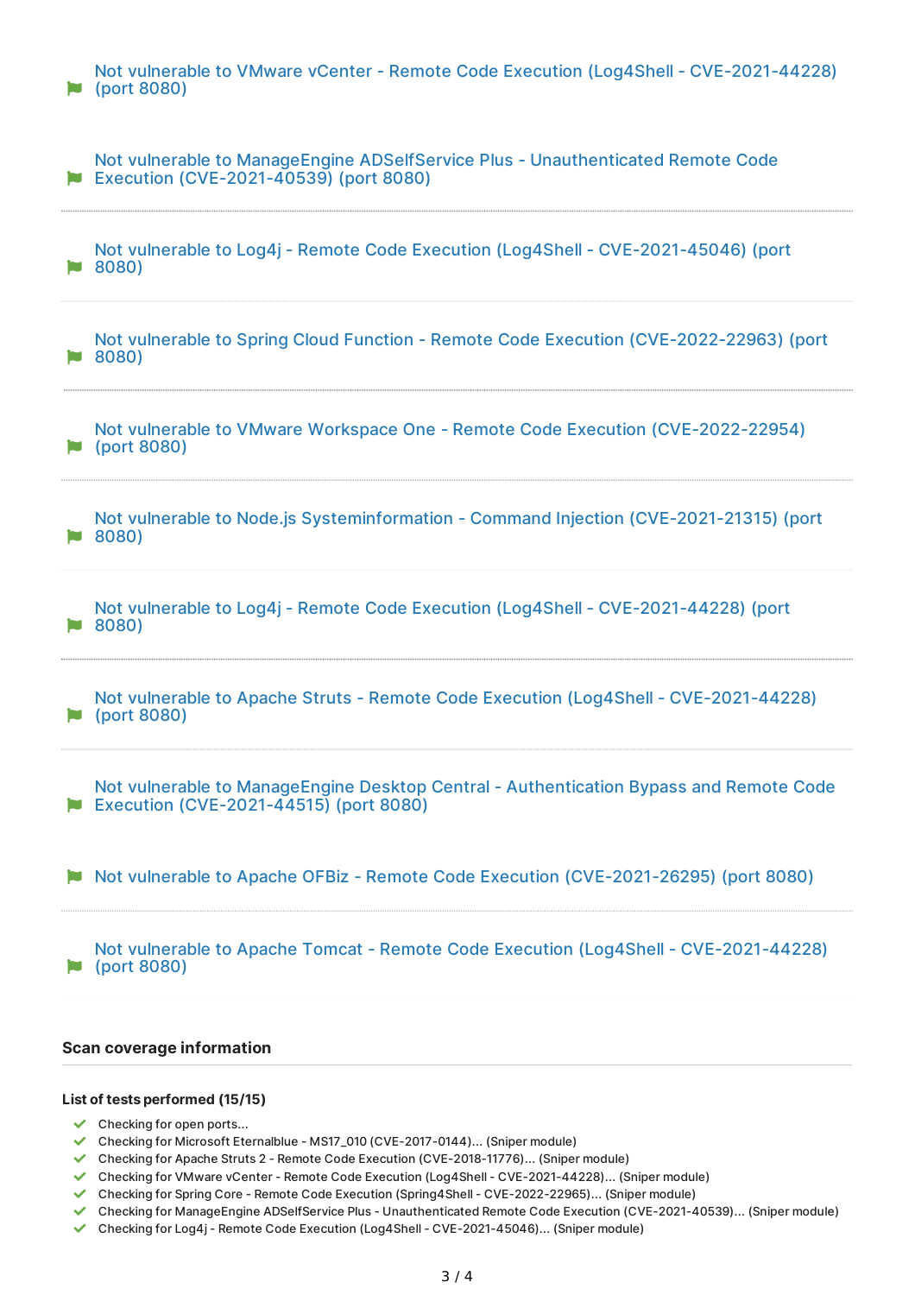| Not vulnerable to VMware vCenter - Remote Code Execution (Log4Shell - CVE-2021-44228)<br>(port 8080)                             |
|----------------------------------------------------------------------------------------------------------------------------------|
| Not vulnerable to ManageEngine ADSelfService Plus - Unauthenticated Remote Code<br>Execution (CVE-2021-40539) (port 8080)        |
| Not vulnerable to Log4j - Remote Code Execution (Log4Shell - CVE-2021-45046) (port<br>8080)                                      |
| Not vulnerable to Spring Cloud Function - Remote Code Execution (CVE-2022-22963) (port<br>8080)                                  |
| Not vulnerable to VMware Workspace One - Remote Code Execution (CVE-2022-22954)<br>(port 8080)                                   |
| Not vulnerable to Node.js Systeminformation - Command Injection (CVE-2021-21315) (port<br>8080)                                  |
| Not vulnerable to Log4j - Remote Code Execution (Log4Shell - CVE-2021-44228) (port<br>8080)<br>H.                                |
| Not vulnerable to Apache Struts - Remote Code Execution (Log4Shell - CVE-2021-44228)<br>(port 8080)                              |
| Not vulnerable to ManageEngine Desktop Central - Authentication Bypass and Remote Code<br>Execution (CVE-2021-44515) (port 8080) |
| Not vulnerable to Apache OFBiz - Remote Code Execution (CVE-2021-26295) (port 8080)                                              |
| Not vulnerable to Apache Tomcat - Remote Code Execution (Log4Shell - CVE-2021-44228)<br>(port 8080)                              |
| <b>Scan coverage information</b>                                                                                                 |

### **List of tests performed (15/15)**

- $\checkmark$  Checking for open ports...
- Checking for Microsoft Eternalblue MS17\_010 (CVE-2017-0144)... (Sniper module)
- Checking for Apache Struts 2 Remote Code Execution (CVE-2018-11776)... (Sniper module)
- Checking for VMware vCenter Remote Code Execution (Log4Shell CVE-2021-44228)... (Sniper module)
- Checking for Spring Core Remote Code Execution (Spring4Shell CVE-2022-22965)... (Sniper module)
- Checking for ManageEngine ADSelfService Plus Unauthenticated Remote Code Execution (CVE-2021-40539)... (Sniper module)
- Checking for Log4j Remote Code Execution (Log4Shell CVE-2021-45046)... (Sniper module)